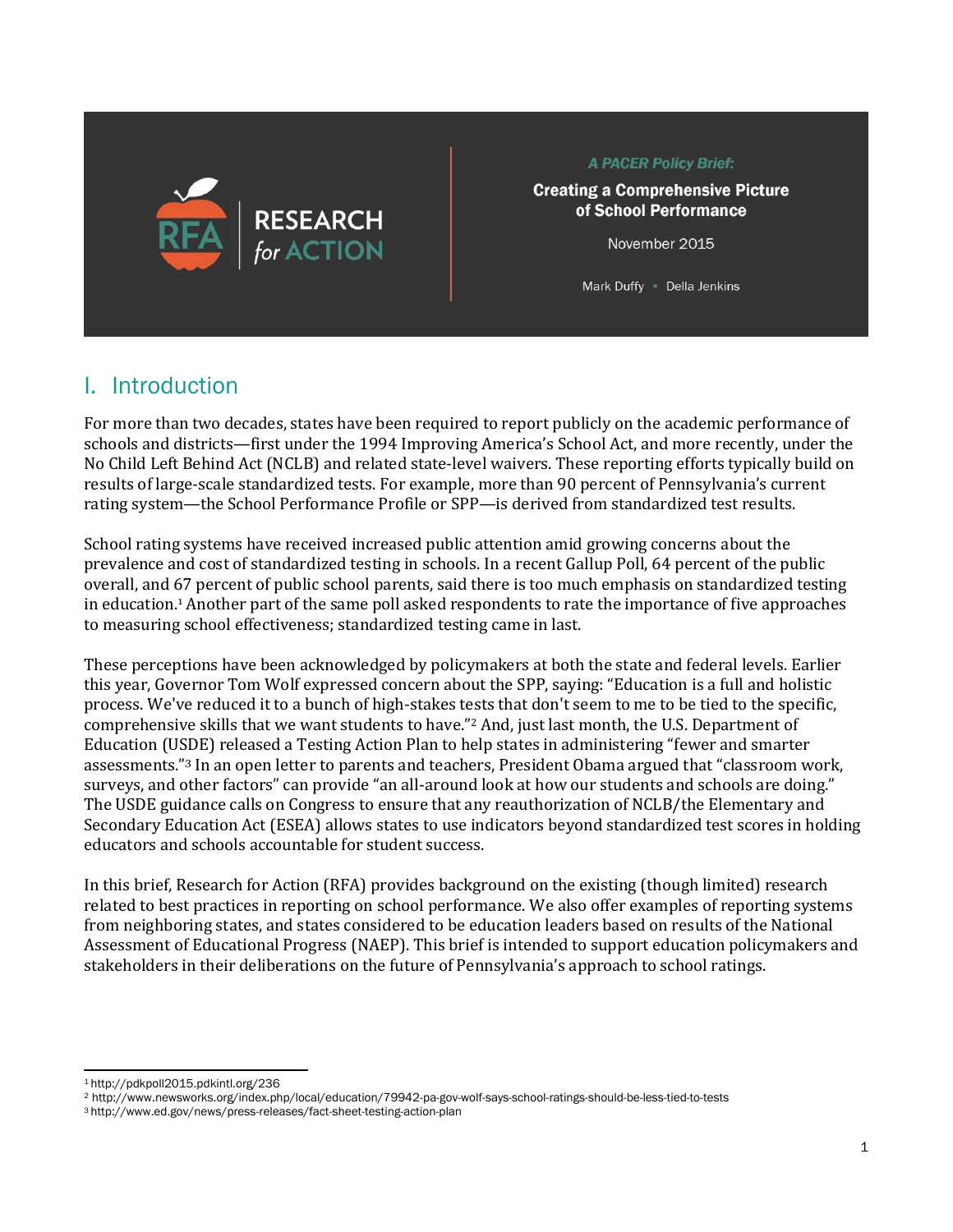

**A PACER Policy Brief:** 

**Creating a Comprehensive Picture** of School Performance

November 2015

Mark Duffy • Della Jenkins

### I. Introduction

For more than two decades, states have been required to report publicly on the academic performance of schools and districts—first under the 1994 Improving America's School Act, and more recently, under the No Child Left Behind Act (NCLB) and related state-level waivers. These reporting efforts typically build on results of large-scale standardized tests. For example, more than 90 percent of Pennsylvania's current rating system—the School Performance Profile or SPP—is derived from standardized test results.

School rating systems have received increased public attention amid growing concerns about the prevalence and cost of standardized testing in schools. In a recent Gallup Poll, 64 percent of the public overall, and 67 percent of public school parents, said there is too much emphasis on standardized testing in education.<sup>1</sup> Another part of the same poll asked respondents to rate the importance of five approaches to measuring school effectiveness; standardized testing came in last.

These perceptions have been acknowledged by policymakers at both the state and federal levels. Earlier this year, Governor Tom Wolf expressed concern about the SPP, saying: "Education is a full and holistic process. We've reduced it to a bunch of high-stakes tests that don't seem to me to be tied to the specific, comprehensive skills that we want students to have."<sup>2</sup> And, just last month, the U.S. Department of Education (USDE) released a Testing Action Plan to help states in administering "fewer and smarter assessments."<sup>3</sup> In an open letter to parents and teachers, President Obama argued that "classroom work, surveys, and other factors" can provide "an all-around look at how our students and schools are doing." The USDE guidance calls on Congress to ensure that any reauthorization of NCLB/the Elementary and Secondary Education Act (ESEA) allows states to use indicators beyond standardized test scores in holding educators and schools accountable for student success.

In this brief, Research for Action (RFA) provides background on the existing (though limited) research related to best practices in reporting on school performance. We also offer examples of reporting systems from neighboring states, and states considered to be education leaders based on results of the National Assessment of Educational Progress (NAEP). This brief is intended to support education policymakers and stakeholders in their deliberations on the future of Pennsylvania's approach to school ratings.

 $\overline{\phantom{0}}$ <sup>1</sup> <http://pdkpoll2015.pdkintl.org/236>

<sup>2</sup> http://www.newsworks.org/index.php/local/education/79942-pa-gov-wolf-says-school-ratings-should-be-less-tied-to-tests

<sup>3</sup> http://www.ed.gov/news/press-releases/fact-sheet-testing-action-plan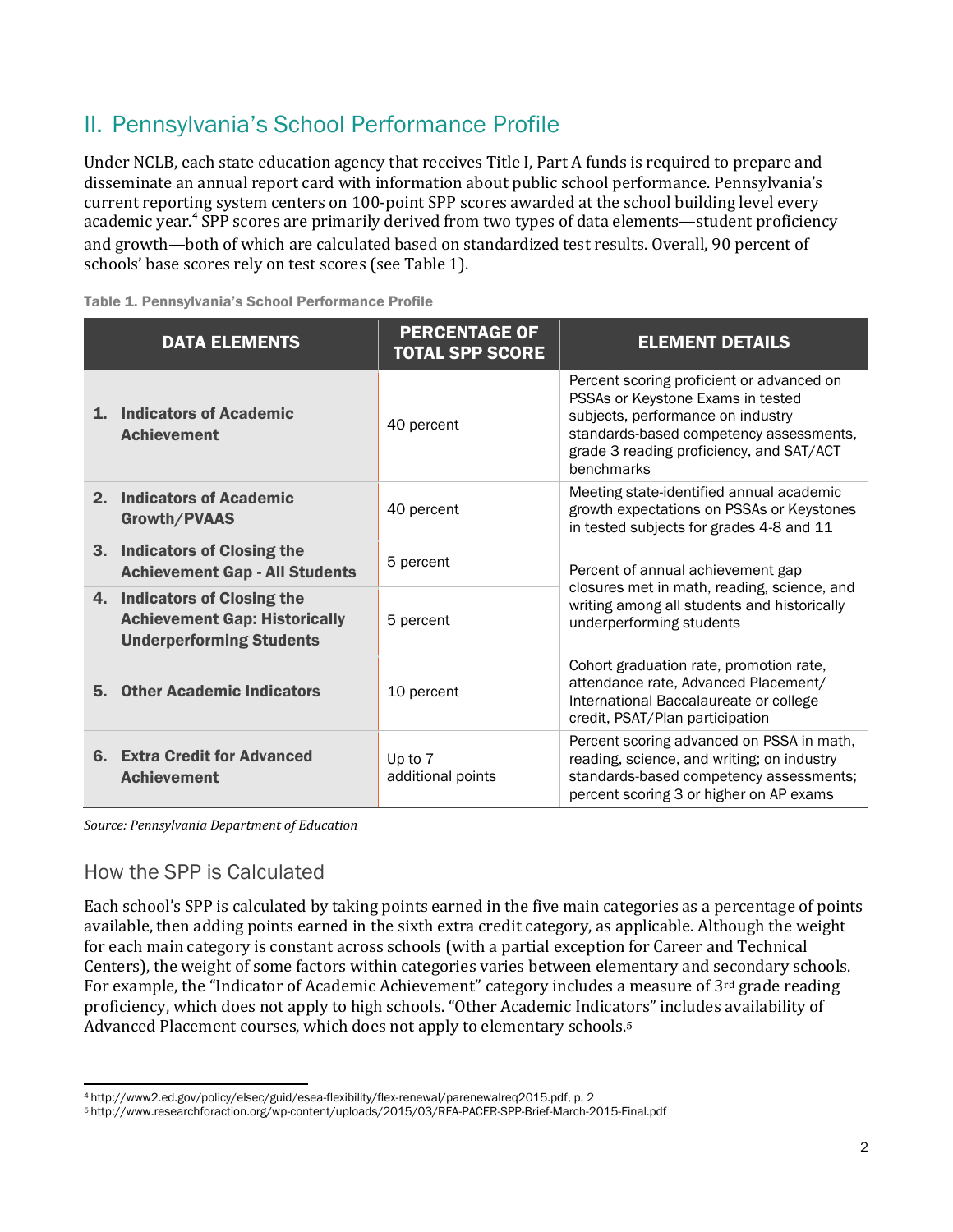### II. Pennsylvania's School Performance Profile

Under NCLB, each state education agency that receives Title I, Part A funds is required to prepare and disseminate an annual report card with information about public school performance. Pennsylvania's current reporting system centers on 100-point SPP scores awarded at the school building level every academic year.<sup>4</sup> SPP scores are primarily derived from two types of data elements—student proficiency and growth—both of which are calculated based on standardized test results. Overall, 90 percent of schools' base scores rely on test scores (see Table 1).

Table 1. Pennsylvania's School Performance Profile

| <b>DATA ELEMENTS</b>                                                                                    | <b>PERCENTAGE OF</b><br><b>TOTAL SPP SCORE</b> | <b>ELEMENT DETAILS</b>                                                                                                                                                                                                   |
|---------------------------------------------------------------------------------------------------------|------------------------------------------------|--------------------------------------------------------------------------------------------------------------------------------------------------------------------------------------------------------------------------|
| <b>Indicators of Academic</b><br>$\mathbf{1}$<br><b>Achievement</b>                                     | 40 percent                                     | Percent scoring proficient or advanced on<br>PSSAs or Keystone Exams in tested<br>subjects, performance on industry<br>standards-based competency assessments,<br>grade 3 reading proficiency, and SAT/ACT<br>benchmarks |
| <b>Indicators of Academic</b><br>2.<br>Growth/PVAAS                                                     | 40 percent                                     | Meeting state-identified annual academic<br>growth expectations on PSSAs or Keystones<br>in tested subjects for grades 4-8 and 11                                                                                        |
| 3. Indicators of Closing the<br><b>Achievement Gap - All Students</b>                                   | 5 percent                                      | Percent of annual achievement gap                                                                                                                                                                                        |
| 4. Indicators of Closing the<br><b>Achievement Gap: Historically</b><br><b>Underperforming Students</b> | 5 percent                                      | closures met in math, reading, science, and<br>writing among all students and historically<br>underperforming students                                                                                                   |
| <b>Other Academic Indicators</b><br>5.                                                                  | 10 percent                                     | Cohort graduation rate, promotion rate,<br>attendance rate, Advanced Placement/<br>International Baccalaureate or college<br>credit, PSAT/Plan participation                                                             |
| 6. Extra Credit for Advanced<br><b>Achievement</b>                                                      | Up to 7<br>additional points                   | Percent scoring advanced on PSSA in math,<br>reading, science, and writing; on industry<br>standards-based competency assessments;<br>percent scoring 3 or higher on AP exams                                            |

*Source: Pennsylvania Department of Education*

#### How the SPP is Calculated

Each school's SPP is calculated by taking points earned in the five main categories as a percentage of points available, then adding points earned in the sixth extra credit category, as applicable. Although the weight for each main category is constant across schools (with a partial exception for Career and Technical Centers), the weight of some factors within categories varies between elementary and secondary schools. For example, the "Indicator of Academic Achievement" category includes a measure of  $3<sup>rd</sup>$  grade reading proficiency, which does not apply to high schools. "Other Academic Indicators" includes availability of Advanced Placement courses, which does not apply to elementary schools.<sup>5</sup>

 $\overline{\phantom{0}}$ <sup>4</sup> [http://www2.ed.gov/policy/elsec/guid/esea-flexibility/flex-renewal/parenewalreq2015.pdf,](http://www2.ed.gov/policy/elsec/guid/esea-flexibility/flex-renewal/parenewalreq2015.pdf) p. 2

<sup>5</sup> <http://www.researchforaction.org/wp-content/uploads/2015/03/RFA-PACER-SPP-Brief-March-2015-Final.pdf>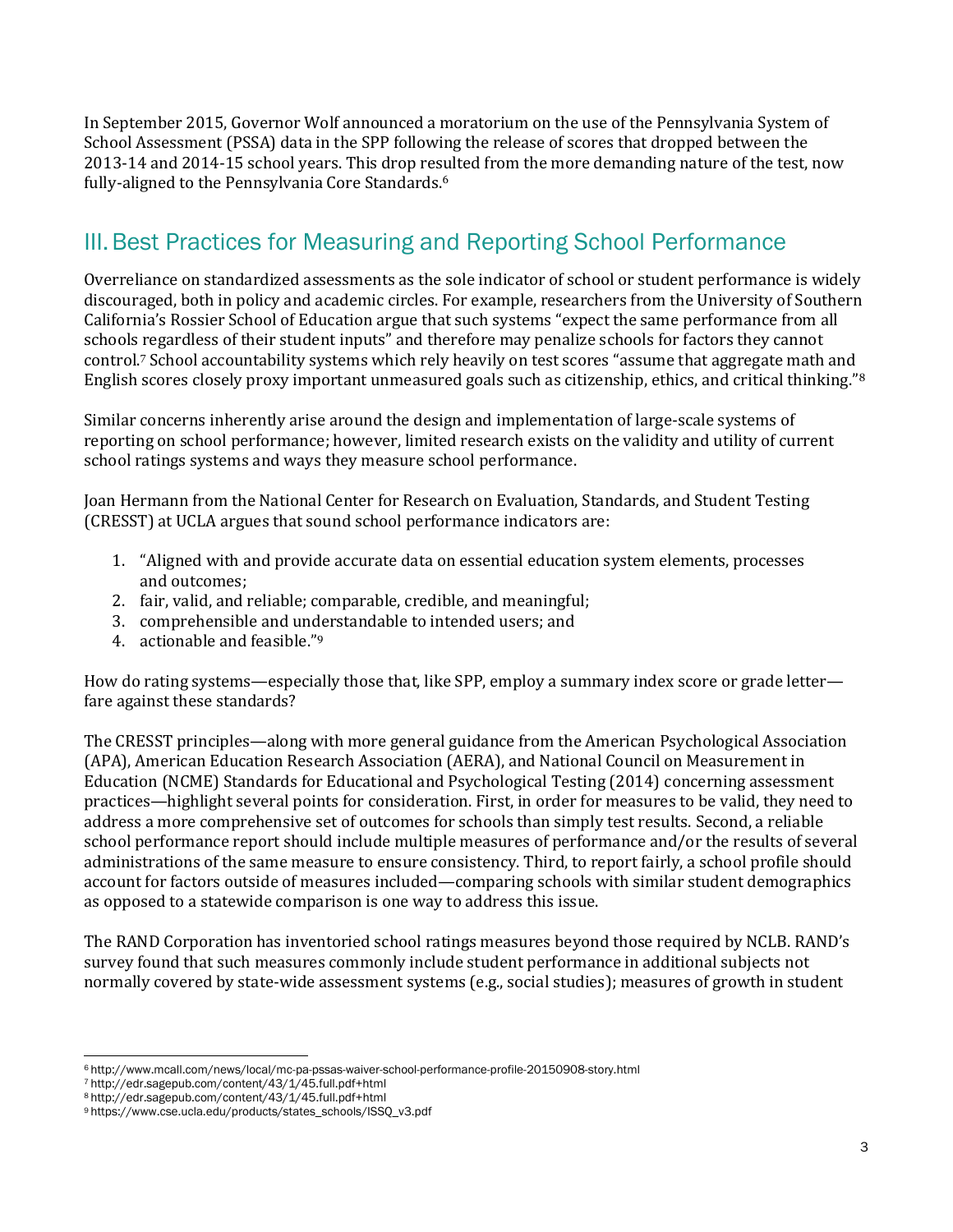In September 2015, Governor Wolf announced a moratorium on the use of the Pennsylvania System of School Assessment (PSSA) data in the SPP following the release of scores that dropped between the 2013-14 and 2014-15 school years. This drop resulted from the more demanding nature of the test, now fully-aligned to the Pennsylvania Core Standards.<sup>6</sup>

### III.Best Practices for Measuring and Reporting School Performance

Overreliance on standardized assessments as the sole indicator of school or student performance is widely discouraged, both in policy and academic circles. For example, researchers from the University of Southern California's Rossier School of Education argue that such systems "expect the same performance from all schools regardless of their student inputs" and therefore may penalize schools for factors they cannot control.<sup>7</sup> School accountability systems which rely heavily on test scores "assume that aggregate math and English scores closely proxy important unmeasured goals such as citizenship, ethics, and critical thinking."<sup>8</sup>

Similar concerns inherently arise around the design and implementation of large-scale systems of reporting on school performance; however, limited research exists on the validity and utility of current school ratings systems and ways they measure school performance.

Joan Hermann from the National Center for Research on Evaluation, Standards, and Student Testing (CRESST) at UCLA argues that sound school performance indicators are:

- 1. "Aligned with and provide accurate data on essential education system elements, processes and outcomes;
- 2. fair, valid, and reliable; comparable, credible, and meaningful;
- 3. comprehensible and understandable to intended users; and
- 4. actionable and feasible."<sup>9</sup>

How do rating systems—especially those that, like SPP, employ a summary index score or grade letter fare against these standards?

The CRESST principles—along with more general guidance from the American Psychological Association (APA), American Education Research Association (AERA), and National Council on Measurement in Education (NCME) Standards for Educational and Psychological Testing (2014) concerning assessment practices—highlight several points for consideration. First, in order for measures to be valid, they need to address a more comprehensive set of outcomes for schools than simply test results. Second, a reliable school performance report should include multiple measures of performance and/or the results of several administrations of the same measure to ensure consistency. Third, to report fairly, a school profile should account for factors outside of measures included—comparing schools with similar student demographics as opposed to a statewide comparison is one way to address this issue.

The RAND Corporation has inventoried school ratings measures beyond those required by NCLB. RAND's survey found that such measures commonly include student performance in additional subjects not normally covered by state-wide assessment systems (e.g., social studies); measures of growth in student

 $\overline{a}$ <sup>6</sup> <http://www.mcall.com/news/local/mc-pa-pssas-waiver-school-performance-profile-20150908-story.html>

<sup>7</sup> http://edr.sagepub.com/content/43/1/45.full.pdf+html

<sup>8</sup> http://edr.sagepub.com/content/43/1/45.full.pdf+html

<sup>9</sup> [https://www.cse.ucla.edu/products/states\\_schools/ISSQ\\_v3.pdf](https://www.cse.ucla.edu/products/states_schools/ISSQ_v3.pdf)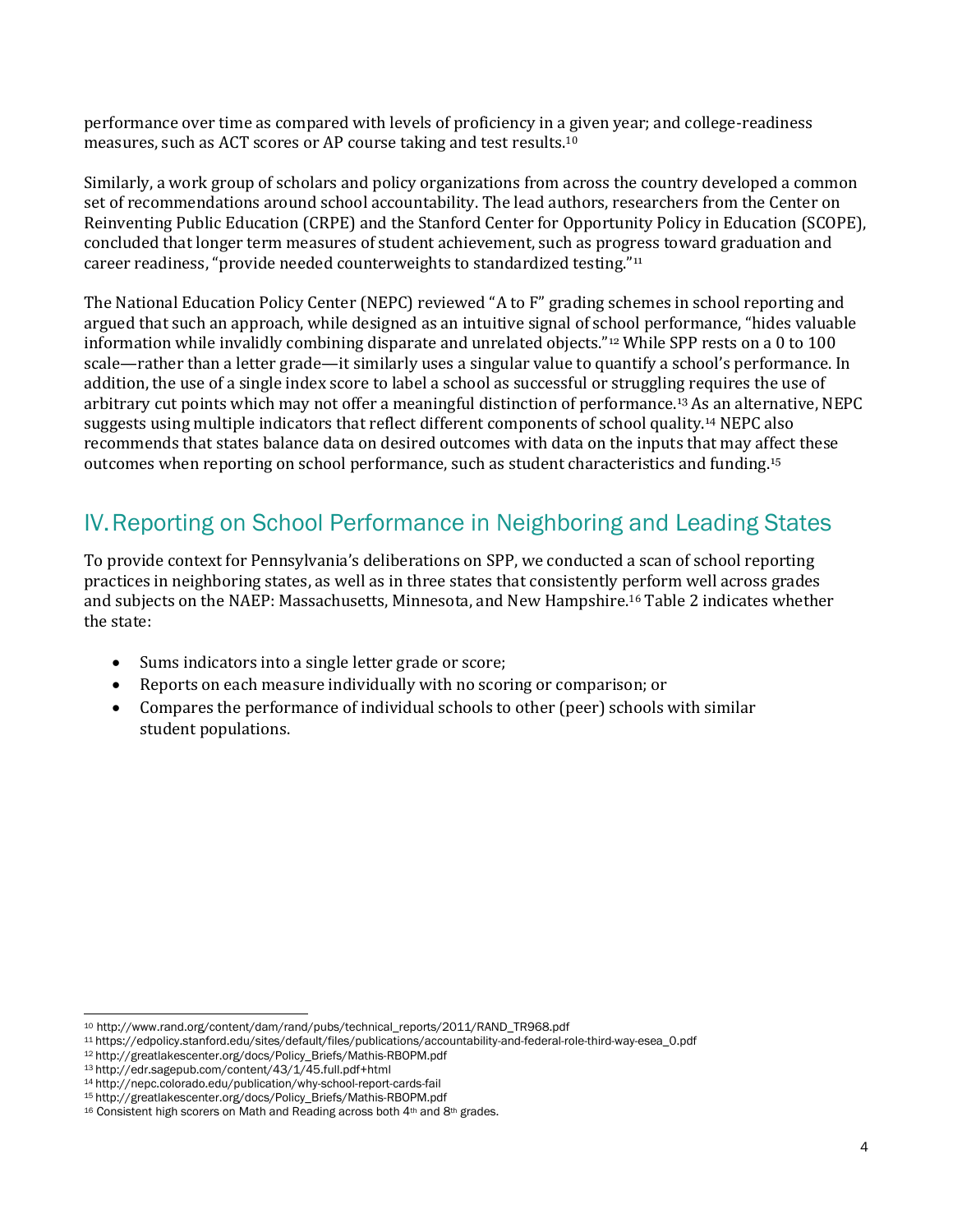performance over time as compared with levels of proficiency in a given year; and college-readiness measures, such as ACT scores or AP course taking and test results.<sup>10</sup>

Similarly, a work group of scholars and policy organizations from across the country developed a common set of recommendations around school accountability. The lead authors, researchers from the Center on Reinventing Public Education (CRPE) and the Stanford Center for Opportunity Policy in Education (SCOPE), concluded that longer term measures of student achievement, such as progress toward graduation and career readiness, "provide needed counterweights to standardized testing."<sup>11</sup>

The National Education Policy Center (NEPC) reviewed "A to F" grading schemes in school reporting and argued that such an approach, while designed as an intuitive signal of school performance, "hides valuable information while invalidly combining disparate and unrelated objects."<sup>12</sup> While SPP rests on a 0 to 100 scale—rather than a letter grade—it similarly uses a singular value to quantify a school's performance. In addition, the use of a single index score to label a school as successful or struggling requires the use of arbitrary cut points which may not offer a meaningful distinction of performance.<sup>13</sup> As an alternative, NEPC suggests using multiple indicators that reflect different components of school quality.<sup>14</sup> NEPC also recommends that states balance data on desired outcomes with data on the inputs that may affect these outcomes when reporting on school performance, such as student characteristics and funding.<sup>15</sup>

### IV.Reporting on School Performance in Neighboring and Leading States

To provide context for Pennsylvania's deliberations on SPP, we conducted a scan of school reporting practices in neighboring states, as well as in three states that consistently perform well across grades and subjects on the NAEP: Massachusetts, Minnesota, and New Hampshire. <sup>16</sup> Table 2 indicates whether the state:

- Sums indicators into a single letter grade or score;
- Reports on each measure individually with no scoring or comparison; or
- Compares the performance of individual schools to other (peer) schools with similar student populations.

 $\overline{\phantom{0}}$ <sup>10</sup> [http://www.rand.org/content/dam/rand/pubs/technical\\_reports/2011/RAND\\_TR968.pdf](http://www.rand.org/content/dam/rand/pubs/technical_reports/2011/RAND_TR968.pdf)

<sup>11</sup> [https://edpolicy.stanford.edu/sites/default/files/publications/accountability-and-federal-role-third-way-esea\\_0.pdf](https://edpolicy.stanford.edu/sites/default/files/publications/accountability-and-federal-role-third-way-esea_0.pdf)

<sup>12</sup> http://greatlakescenter.org/docs/Policy\_Briefs/Mathis-RBOPM.pdf

<sup>13</sup> http://edr.sagepub.com/content/43/1/45.full.pdf+html

<sup>14</sup> <http://nepc.colorado.edu/publication/why-school-report-cards-fail>

<sup>15</sup> http://greatlakescenter.org/docs/Policy\_Briefs/Mathis-RBOPM.pdf

<sup>16</sup> Consistent high scorers on Math and Reading across both 4th and 8th grades.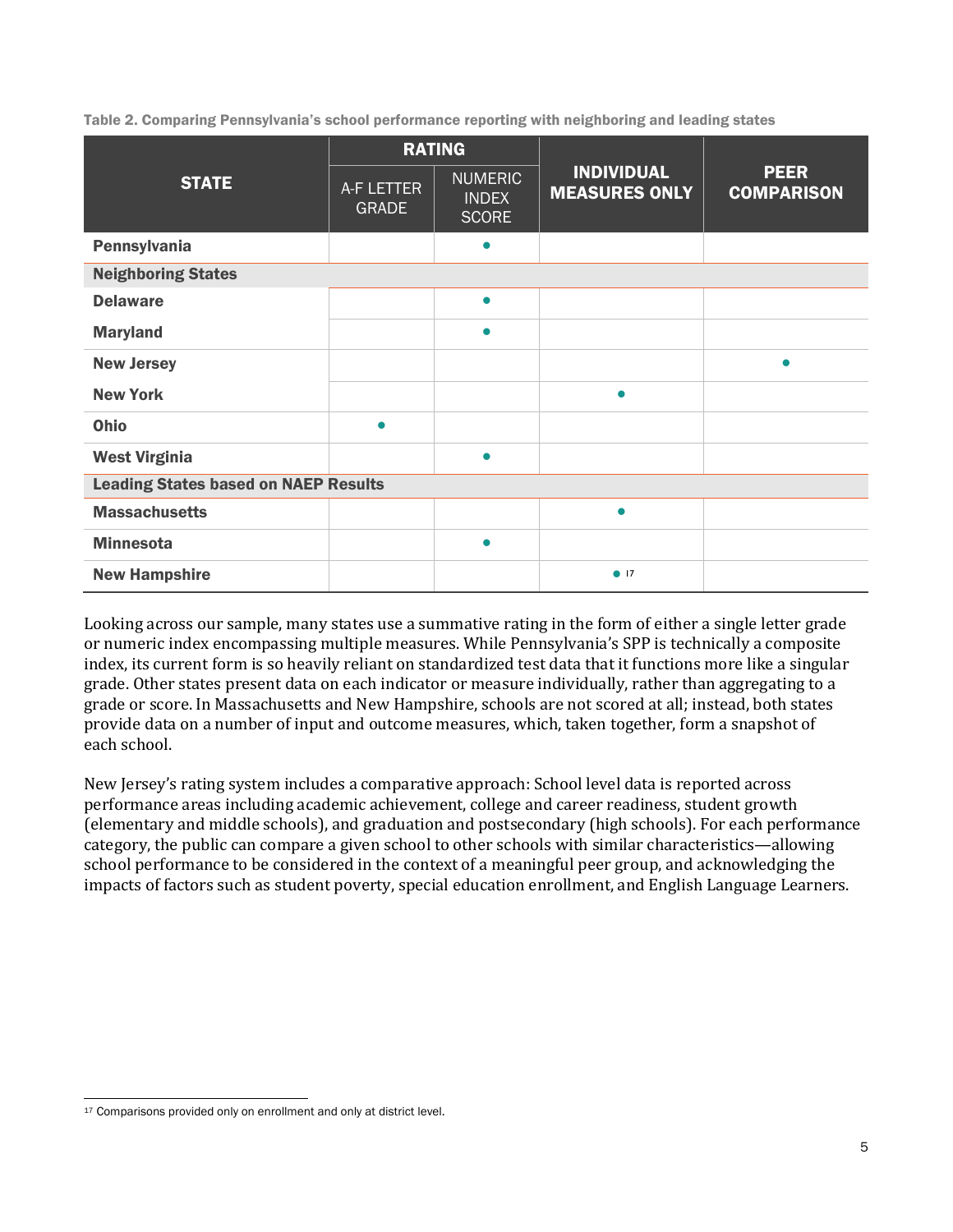Table 2. Comparing Pennsylvania's school performance reporting with neighboring and leading states

|                                             |                            | <b>RATING</b>                                  |                                           | <b>PEER</b><br><b>COMPARISON</b> |  |  |  |  |  |
|---------------------------------------------|----------------------------|------------------------------------------------|-------------------------------------------|----------------------------------|--|--|--|--|--|
| <b>STATE</b>                                | A-F LETTER<br><b>GRADE</b> | <b>NUMERIC</b><br><b>INDEX</b><br><b>SCORE</b> | <b>INDIVIDUAL</b><br><b>MEASURES ONLY</b> |                                  |  |  |  |  |  |
| Pennsylvania                                |                            | $\bullet$                                      |                                           |                                  |  |  |  |  |  |
| <b>Neighboring States</b>                   |                            |                                                |                                           |                                  |  |  |  |  |  |
| <b>Delaware</b>                             |                            | $\bullet$                                      |                                           |                                  |  |  |  |  |  |
| <b>Maryland</b>                             |                            | $\bullet$                                      |                                           |                                  |  |  |  |  |  |
| <b>New Jersey</b>                           |                            |                                                |                                           | $\bullet$                        |  |  |  |  |  |
| <b>New York</b>                             |                            |                                                | $\bullet$                                 |                                  |  |  |  |  |  |
| Ohio                                        | $\bullet$                  |                                                |                                           |                                  |  |  |  |  |  |
| <b>West Virginia</b>                        |                            | $\bullet$                                      |                                           |                                  |  |  |  |  |  |
| <b>Leading States based on NAEP Results</b> |                            |                                                |                                           |                                  |  |  |  |  |  |
| <b>Massachusetts</b>                        |                            |                                                | $\bullet$                                 |                                  |  |  |  |  |  |
| <b>Minnesota</b>                            |                            | $\bullet$                                      |                                           |                                  |  |  |  |  |  |
| <b>New Hampshire</b>                        |                            |                                                | $\bullet$ 17                              |                                  |  |  |  |  |  |

Looking across our sample, many states use a summative rating in the form of either a single letter grade or numeric index encompassing multiple measures. While Pennsylvania's SPP is technically a composite index, its current form is so heavily reliant on standardized test data that it functions more like a singular grade. Other states present data on each indicator or measure individually, rather than aggregating to a grade or score. In Massachusetts and New Hampshire, schools are not scored at all; instead, both states provide data on a number of input and outcome measures, which, taken together, form a snapshot of each school.

New Jersey's rating system includes a comparative approach: School level data is reported across performance areas including academic achievement, college and career readiness, student growth (elementary and middle schools), and graduation and postsecondary (high schools). For each performance category, the public can compare a given school to other schools with similar characteristics—allowing school performance to be considered in the context of a meaningful peer group, and acknowledging the impacts of factors such as student poverty, special education enrollment, and English Language Learners.

l 17 Comparisons provided only on enrollment and only at district level.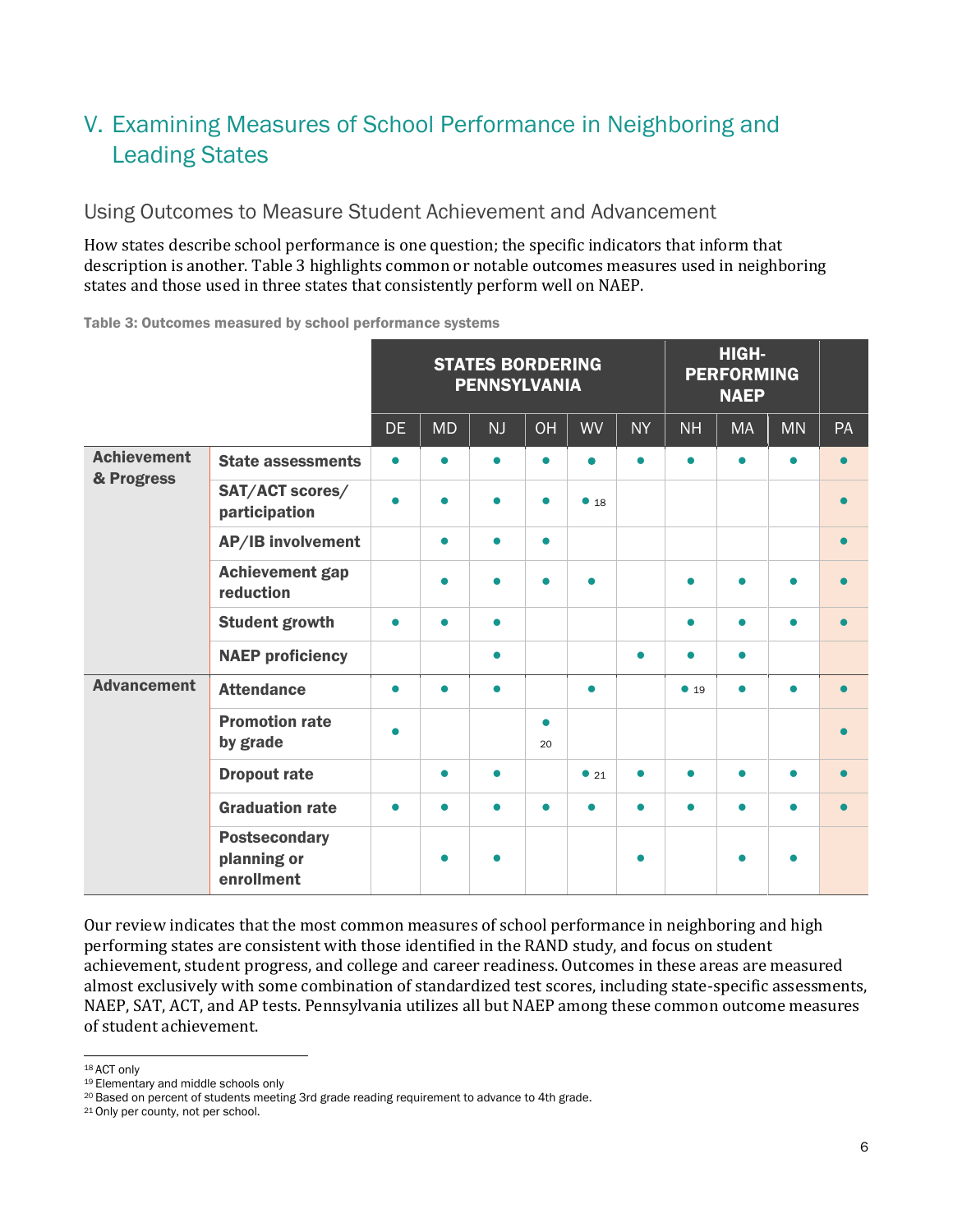# V. Examining Measures of School Performance in Neighboring and Leading States

Using Outcomes to Measure Student Achievement and Advancement

How states describe school performance is one question; the specific indicators that inform that description is another. Table 3 highlights common or notable outcomes measures used in neighboring states and those used in three states that consistently perform well on NAEP.

Table 3: Outcomes measured by school performance systems

|                                  |                                                   | <b>STATES BORDERING</b><br><b>PENNSYLVANIA</b> |           |           |                 |           | HIGH-<br><b>PERFORMING</b><br><b>NAEP</b> |           |           |           |           |
|----------------------------------|---------------------------------------------------|------------------------------------------------|-----------|-----------|-----------------|-----------|-------------------------------------------|-----------|-----------|-----------|-----------|
|                                  |                                                   | DE.                                            | <b>MD</b> | NJ        | OH              | <b>WV</b> | <b>NY</b>                                 | <b>NH</b> | <b>MA</b> | <b>MN</b> | PA        |
| <b>Achievement</b><br>& Progress | <b>State assessments</b>                          | $\bullet$                                      | $\bullet$ | $\bullet$ | $\bullet$       | $\bullet$ | $\bullet$                                 | $\bullet$ | $\bullet$ | $\bullet$ | $\bullet$ |
|                                  | SAT/ACT scores/<br>participation                  | $\bullet$                                      | $\bullet$ | $\bullet$ | $\bullet$       | • 18      |                                           |           |           |           | $\bullet$ |
|                                  | AP/IB involvement                                 |                                                | $\bullet$ | $\bullet$ | $\bullet$       |           |                                           |           |           |           | $\bullet$ |
|                                  | <b>Achievement gap</b><br>reduction               |                                                | $\bullet$ | $\bullet$ | $\bullet$       | $\bullet$ |                                           | $\bullet$ |           | $\bullet$ | $\bullet$ |
|                                  | <b>Student growth</b>                             | $\bullet$                                      | $\bullet$ | $\bullet$ |                 |           |                                           | $\bullet$ | $\bullet$ | $\bullet$ | $\bullet$ |
|                                  | <b>NAEP proficiency</b>                           |                                                |           | $\bullet$ |                 |           | $\bullet$                                 | $\bullet$ | $\bullet$ |           |           |
| <b>Advancement</b>               | <b>Attendance</b>                                 | $\bullet$                                      | $\bullet$ | $\bullet$ |                 | $\bullet$ |                                           | • 19      | $\bullet$ | $\bullet$ | $\bullet$ |
|                                  | <b>Promotion rate</b><br>by grade                 | $\bullet$                                      |           |           | $\bullet$<br>20 |           |                                           |           |           |           | $\bullet$ |
|                                  | <b>Dropout rate</b>                               |                                                | $\bullet$ | $\bullet$ |                 | •21       | $\bullet$                                 | $\bullet$ | $\bullet$ | $\bullet$ | $\bullet$ |
|                                  | <b>Graduation rate</b>                            | $\bullet$                                      | $\bullet$ | $\bullet$ | $\bullet$       | $\bullet$ | $\bullet$                                 | $\bullet$ | $\bullet$ | $\bullet$ | $\bullet$ |
|                                  | <b>Postsecondary</b><br>planning or<br>enrollment |                                                | $\bullet$ | $\bullet$ |                 |           | $\bullet$                                 |           |           | $\bullet$ |           |

Our review indicates that the most common measures of school performance in neighboring and high performing states are consistent with those identified in the RAND study, and focus on student achievement, student progress, and college and career readiness. Outcomes in these areas are measured almost exclusively with some combination of standardized test scores, including state-specific assessments, NAEP, SAT, ACT, and AP tests. Pennsylvania utilizes all but NAEP among these common outcome measures of student achievement.

 $\overline{a}$ 18 ACT only

<sup>&</sup>lt;sup>19</sup> Elementary and middle schools only

<sup>20</sup> Based on percent of students meeting 3rd grade reading requirement to advance to 4th grade.

<sup>21</sup> Only per county, not per school.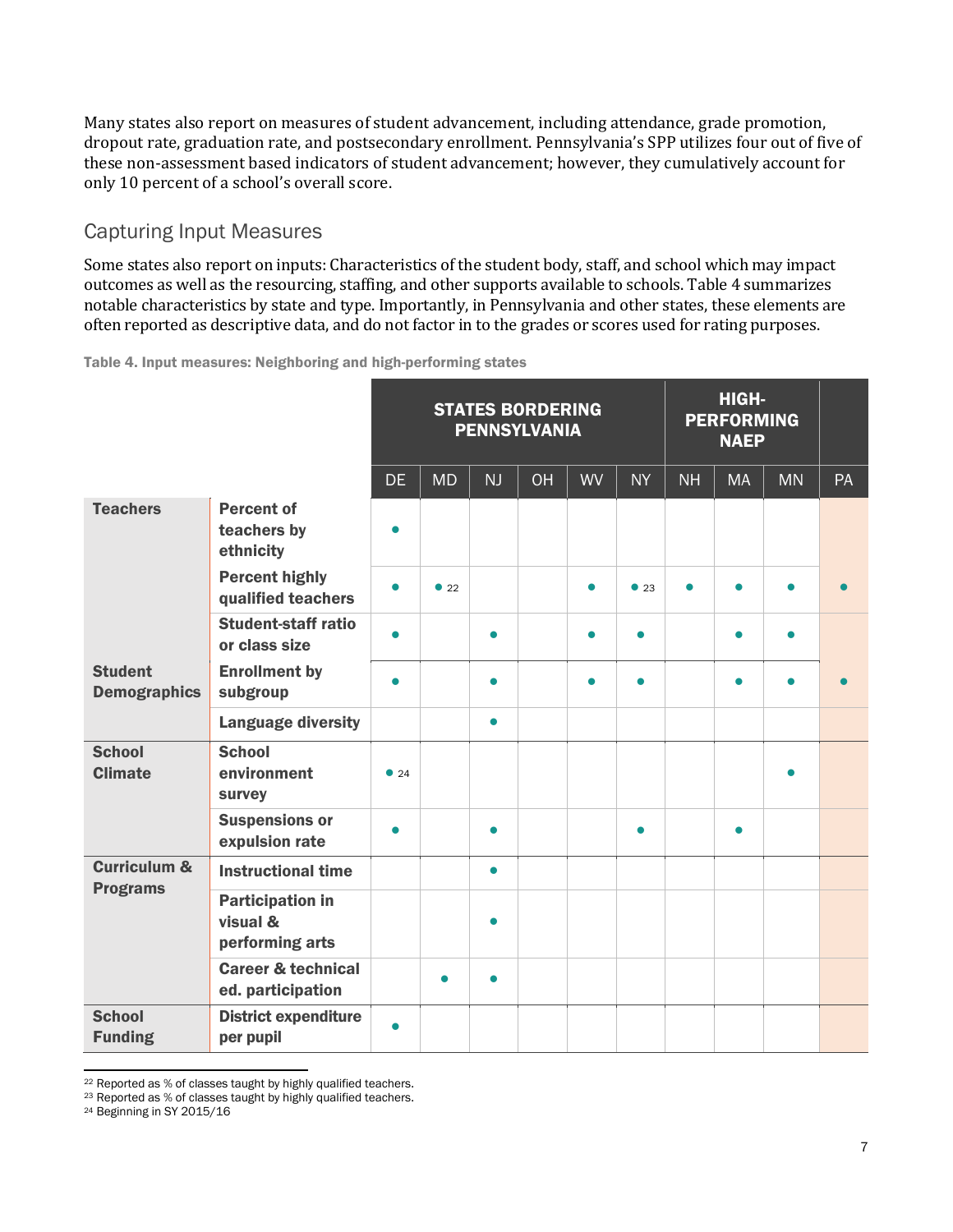Many states also report on measures of student advancement, including attendance, grade promotion, dropout rate, graduation rate, and postsecondary enrollment. Pennsylvania's SPP utilizes four out of five of these non-assessment based indicators of student advancement; however, they cumulatively account for only 10 percent of a school's overall score.

### Capturing Input Measures

Some states also report on inputs: Characteristics of the student body, staff, and school which may impact outcomes as well as the resourcing, staffing, and other supports available to schools. Table 4 summarizes notable characteristics by state and type. Importantly, in Pennsylvania and other states, these elements are often reported as descriptive data, and do not factor in to the grades or scores used for rating purposes.

Table 4. Input measures: Neighboring and high-performing states

|                                       |                                                        | <b>STATES BORDERING</b><br><b>PENNSYLVANIA</b> |           |           |    |           |           | <b>PERFORMING</b> |           |           |           |
|---------------------------------------|--------------------------------------------------------|------------------------------------------------|-----------|-----------|----|-----------|-----------|-------------------|-----------|-----------|-----------|
|                                       |                                                        | <b>DE</b>                                      | <b>MD</b> | NJ        | OH | <b>WV</b> | <b>NY</b> | <b>NH</b>         | <b>MA</b> | <b>MN</b> | PA        |
| <b>Teachers</b>                       | <b>Percent of</b><br>teachers by<br>ethnicity          |                                                |           |           |    |           |           |                   |           |           |           |
|                                       | <b>Percent highly</b><br>qualified teachers            | $\bullet$                                      | •22       |           |    | $\bullet$ | •23       | $\bullet$         | $\bullet$ | $\bullet$ | $\bullet$ |
|                                       | <b>Student-staff ratio</b><br>or class size            |                                                |           | $\bullet$ |    | $\bullet$ |           |                   | $\bullet$ | $\bullet$ |           |
| <b>Student</b><br><b>Demographics</b> | <b>Enrollment by</b><br>subgroup                       | $\bullet$                                      |           | $\bullet$ |    | $\bullet$ | $\bullet$ |                   | $\bullet$ | $\bullet$ |           |
|                                       | <b>Language diversity</b>                              |                                                |           | $\bullet$ |    |           |           |                   |           |           |           |
| <b>School</b><br><b>Climate</b>       | <b>School</b><br>environment<br>survey                 | • 24                                           |           |           |    |           |           |                   |           |           |           |
|                                       | <b>Suspensions or</b><br>expulsion rate                | $\bullet$                                      |           | $\bullet$ |    |           |           |                   | $\bullet$ |           |           |
| <b>Curriculum &amp;</b>               | <b>Instructional time</b>                              |                                                |           | $\bullet$ |    |           |           |                   |           |           |           |
| <b>Programs</b>                       | <b>Participation in</b><br>visual &<br>performing arts |                                                |           |           |    |           |           |                   |           |           |           |
|                                       | <b>Career &amp; technical</b><br>ed. participation     |                                                | $\bullet$ | $\bullet$ |    |           |           |                   |           |           |           |
| <b>School</b><br><b>Funding</b>       | <b>District expenditure</b><br>per pupil               | $\bullet$                                      |           |           |    |           |           |                   |           |           |           |

<sup>22</sup> Reported as % of classes taught by highly qualified teachers.

 $\overline{\phantom{0}}$ 

<sup>23</sup> Reported as % of classes taught by highly qualified teachers.

<sup>24</sup> Beginning in SY 2015/16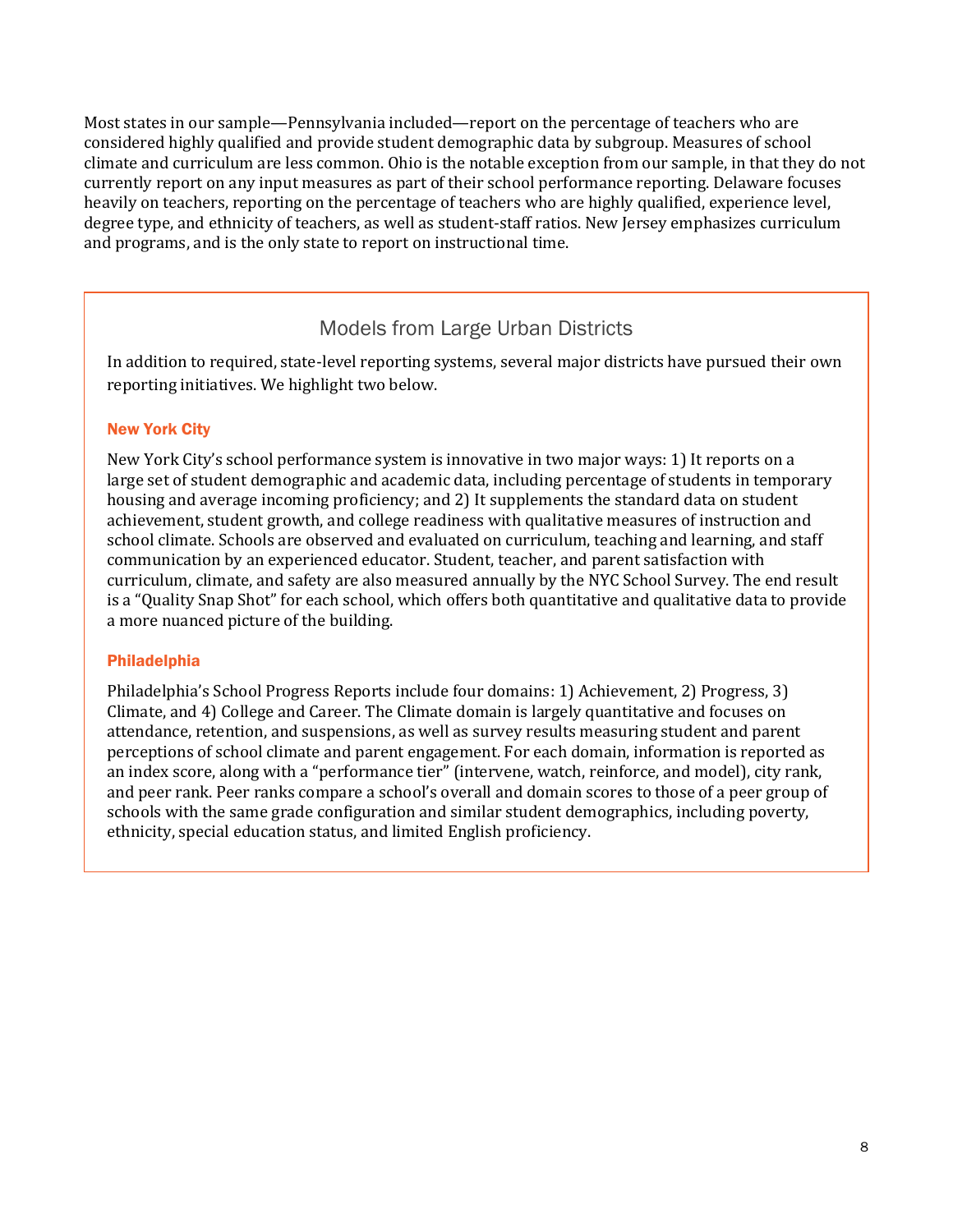Most states in our sample—Pennsylvania included—report on the percentage of teachers who are considered highly qualified and provide student demographic data by subgroup. Measures of school climate and curriculum are less common. Ohio is the notable exception from our sample, in that they do not currently report on any input measures as part of their school performance reporting. Delaware focuses heavily on teachers, reporting on the percentage of teachers who are highly qualified, experience level, degree type, and ethnicity of teachers, as well as student-staff ratios. New Jersey emphasizes curriculum and programs, and is the only state to report on instructional time.

### Models from Large Urban Districts

In addition to required, state-level reporting systems, several major districts have pursued their own reporting initiatives. We highlight two below.

#### New York City

New York City's school performance system is innovative in two major ways: 1) It reports on a large set of student demographic and academic data, including percentage of students in temporary housing and average incoming proficiency; and 2) It supplements the standard data on student achievement, student growth, and college readiness with qualitative measures of instruction and school climate. Schools are observed and evaluated on curriculum, teaching and learning, and staff communication by an experienced educator. Student, teacher, and parent satisfaction with curriculum, climate, and safety are also measured annually by the NYC School Survey. The end result is a "Quality Snap Shot" for each school, which offers both quantitative and qualitative data to provide a more nuanced picture of the building.

#### Philadelphia

Philadelphia's School Progress Reports include four domains: 1) Achievement, 2) Progress, 3) Climate, and 4) College and Career. The Climate domain is largely quantitative and focuses on attendance, retention, and suspensions, as well as survey results measuring student and parent perceptions of school climate and parent engagement. For each domain, information is reported as an index score, along with a "performance tier" (intervene, watch, reinforce, and model), city rank, and peer rank. Peer ranks compare a school's overall and domain scores to those of a peer group of schools with the same grade configuration and similar student demographics, including poverty, ethnicity, special education status, and limited English proficiency.